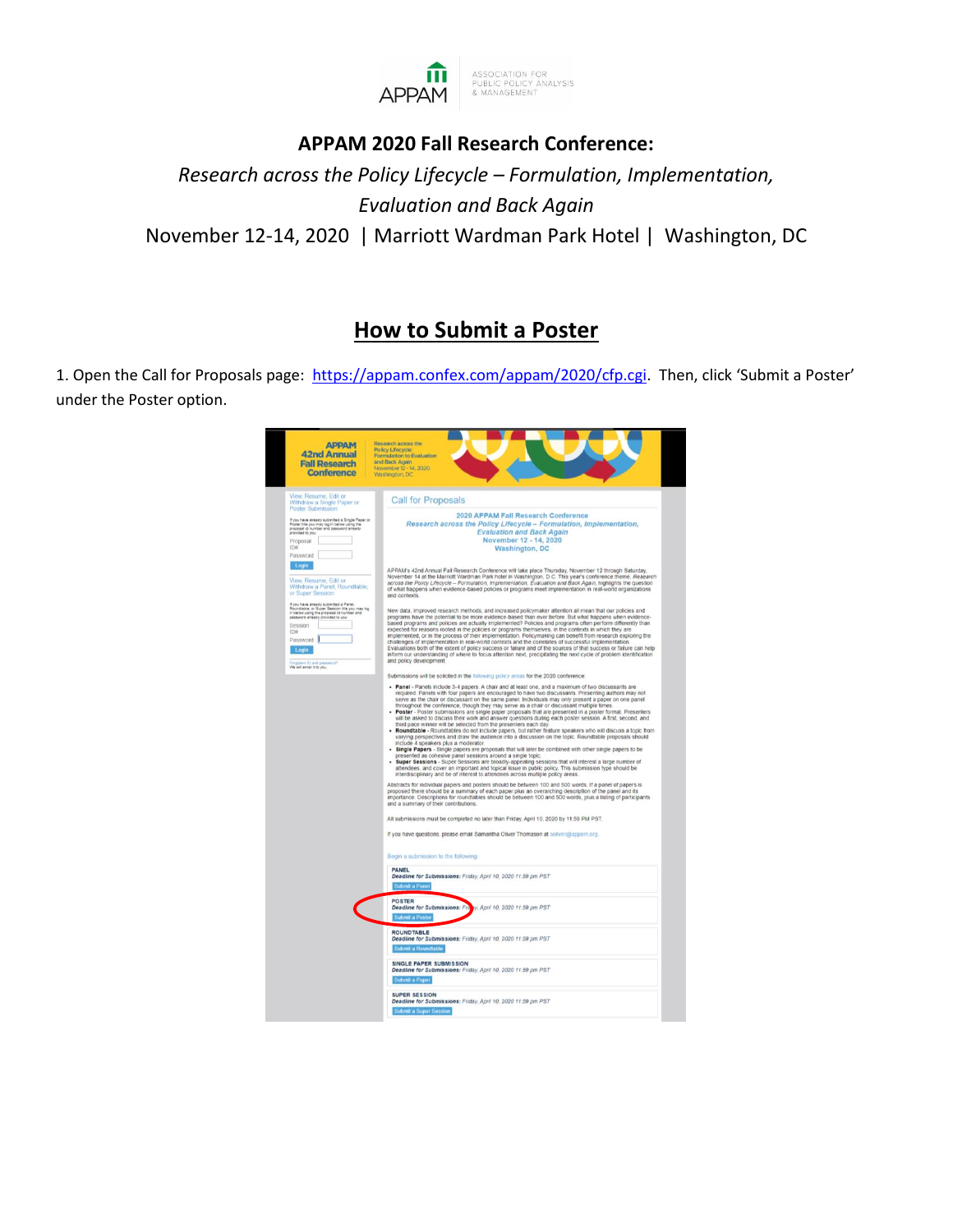

## **APPAM 2020 Fall Research Conference:**

*Research across the Policy Lifecycle – Formulation, Implementation, Evaluation and Back Again* November 12-14, 2020 | Marriott Wardman Park Hotel | Washington, DC

## **How to Submit a Poster**

1. Open the Call for Proposals page: [https://appam.confex.com/appam/2020/cfp.cgi.](https://appam.confex.com/appam/2020/cfp.cgi) Then, click 'Submit a Poster' under the Poster option.

| <b>APPAM</b><br><b>42nd Annual</b><br><b>Fall Research</b><br><b>Conference</b>                                                                                                                                                                                               | Research across the<br>Policy Lifecycle:<br>Formulation to Evaluation<br>and Back Again<br>November 12 - 14, 2020<br>Washington, DC                                                                                                                                                                                                                                                                                                                                                                                                                                                                                                                                                                                                                                                                                                                                                                                                                                                                                                                                                                                                                                                                                                                                                                                                                   |
|-------------------------------------------------------------------------------------------------------------------------------------------------------------------------------------------------------------------------------------------------------------------------------|-------------------------------------------------------------------------------------------------------------------------------------------------------------------------------------------------------------------------------------------------------------------------------------------------------------------------------------------------------------------------------------------------------------------------------------------------------------------------------------------------------------------------------------------------------------------------------------------------------------------------------------------------------------------------------------------------------------------------------------------------------------------------------------------------------------------------------------------------------------------------------------------------------------------------------------------------------------------------------------------------------------------------------------------------------------------------------------------------------------------------------------------------------------------------------------------------------------------------------------------------------------------------------------------------------------------------------------------------------|
| View, Resume, Edit or<br>Withdraw a Single Paper or                                                                                                                                                                                                                           | <b>Call for Proposals</b>                                                                                                                                                                                                                                                                                                                                                                                                                                                                                                                                                                                                                                                                                                                                                                                                                                                                                                                                                                                                                                                                                                                                                                                                                                                                                                                             |
| Poster Submission:<br>If you have already submitted a Single Paper or<br>Poster title you may log in below using the<br>propossi id number and password already<br>provided to you<br>Proposal<br>IDH<br>Password                                                             | 2020 APPAM Fall Research Conference<br>Research across the Policy Lifecycle - Formulation, Implementation,<br><b>Evaluation and Back Again</b><br>November 12 - 14, 2020<br><b>Washington, DC</b>                                                                                                                                                                                                                                                                                                                                                                                                                                                                                                                                                                                                                                                                                                                                                                                                                                                                                                                                                                                                                                                                                                                                                     |
| Login<br>View, Resume, Edit or<br>Withdraw a Panel, Roundtable,<br>or Super Session:                                                                                                                                                                                          | APPAM's 42nd Annual Fall Research Conference will take place Thursday, November 12 through Saturday,<br>November 14 at the Marriott Wardman Park hotel in Washington, D.C. This year's conference theme, Research<br>across the Policy Lifecycle - Formulation, Implementation, Evaluation and Back Again, highlights the question<br>of what happens when evidence-based policies or programs meet implementation in real-world organizations<br>and contexts.                                                                                                                                                                                                                                                                                                                                                                                                                                                                                                                                                                                                                                                                                                                                                                                                                                                                                       |
| If you have already submitted a Panel,<br>Roundlable, or Super Session title you may log<br>in below using the proposal id number and<br>password aready provided to you.<br>Session<br>ID#<br>Password  <br>Login<br><b>Itemsteed She Ol meth</b><br>We will email it to you | New data, improved research methods, and increased policymaker attention all mean that our policies and<br>programs have the potential to be more evidence-based than ever before. But what happens when evidence-<br>based programs and policies are actually implemented? Policies and programs often perform differently than<br>expected for reasons rooted in the policies or programs themselves, in the contexts in which they are<br>implemented, or in the process of their implementation. Policymaking can benefit from research exploring the<br>challenges of implementation in real-world contexts and the correlates of successful implementation.<br>Evaluations both of the extent of policy success or failure and of the sources of that success or failure can help<br>inform our understanding of where to focus attention next, precipitating the next cycle of problem identification<br>and policy development.                                                                                                                                                                                                                                                                                                                                                                                                               |
|                                                                                                                                                                                                                                                                               | Submissions will be solicited in the following policy areas for the 2020 conference:                                                                                                                                                                                                                                                                                                                                                                                                                                                                                                                                                                                                                                                                                                                                                                                                                                                                                                                                                                                                                                                                                                                                                                                                                                                                  |
|                                                                                                                                                                                                                                                                               | required. Panels with four papers are encouraged to have two discussants. Presenting authors may not<br>serve as the chair or discussant on the same panel. Individuals may only present a paper on one panel<br>throughout the conference, though they may serve as a chair or discussant multiple times.<br>Poster - Poster submissions are single paper proposals that are presented in a poster format. Presenters<br>will be asked to discuss their work and answer questions during each poster session. A first, second, and<br>third pace winner will be selected from the presenters each day.<br>. Roundtable - Roundtables do not include papers, but rather feature speakers who will discuss a topic from<br>varying perspectives and draw the audience into a discussion on the topic. Roundtable proposals should<br>include 4 speakers plus a moderator.<br>- Single Papers - Single papers are proposals that will later be combined with other single papers to be<br>presented as cohesive panel sessions around a single topic.<br>Super Sessions - Super Sessions are broadly-appealing sessions that will interest a large number of<br>attendees, and cover an important and topical issue in public policy. This submission type should be<br>interdisciplinary and be of interest to attendees across multiple policy areas. |
|                                                                                                                                                                                                                                                                               | Abstracts for individual papers and posters should be between 100 and 500 words. If a panel of papers is<br>proposed there should be a summary of each paper plus an overarching description of the panel and its<br>importance. Descriptions for roundtables should be between 100 and 500 words, plus a listing of participants<br>and a summary of their contributions.                                                                                                                                                                                                                                                                                                                                                                                                                                                                                                                                                                                                                                                                                                                                                                                                                                                                                                                                                                            |
|                                                                                                                                                                                                                                                                               | All submissions must be completed no later than Friday, April 10, 2020 by 11:59 PM PST.<br>If you have questions, please email Samantha Oliver Thomason at soliver@apparn.org.                                                                                                                                                                                                                                                                                                                                                                                                                                                                                                                                                                                                                                                                                                                                                                                                                                                                                                                                                                                                                                                                                                                                                                        |
|                                                                                                                                                                                                                                                                               | Begin a submission to the following:                                                                                                                                                                                                                                                                                                                                                                                                                                                                                                                                                                                                                                                                                                                                                                                                                                                                                                                                                                                                                                                                                                                                                                                                                                                                                                                  |
|                                                                                                                                                                                                                                                                               | <b>PANEL</b><br>Deadline for Submissions: Friday, April 10, 2020 11:59 pm PST<br>Submit a Panel                                                                                                                                                                                                                                                                                                                                                                                                                                                                                                                                                                                                                                                                                                                                                                                                                                                                                                                                                                                                                                                                                                                                                                                                                                                       |
|                                                                                                                                                                                                                                                                               | <b>POSTER</b><br><b>Deadline for Submissions: Frie</b><br>y, April 10, 2020 11:59 pm PST<br>Submit a Poster                                                                                                                                                                                                                                                                                                                                                                                                                                                                                                                                                                                                                                                                                                                                                                                                                                                                                                                                                                                                                                                                                                                                                                                                                                           |
|                                                                                                                                                                                                                                                                               | <b>ROUNDTABLE</b><br>Deadline for Submissions: Friday, April 10, 2020 11:59 pm PST<br>Submit a Roundtable                                                                                                                                                                                                                                                                                                                                                                                                                                                                                                                                                                                                                                                                                                                                                                                                                                                                                                                                                                                                                                                                                                                                                                                                                                             |
|                                                                                                                                                                                                                                                                               | SINGLE PAPER SUBMISSION<br>Deadline for Submissions: Friday, April 10, 2020 11:59 pm PST<br>Submit a Paper                                                                                                                                                                                                                                                                                                                                                                                                                                                                                                                                                                                                                                                                                                                                                                                                                                                                                                                                                                                                                                                                                                                                                                                                                                            |
|                                                                                                                                                                                                                                                                               | SUPER SESSION<br>Deadline for Submissions: Friday, April 10, 2020 11:59 pm PST<br><b>Submit a Super Session</b>                                                                                                                                                                                                                                                                                                                                                                                                                                                                                                                                                                                                                                                                                                                                                                                                                                                                                                                                                                                                                                                                                                                                                                                                                                       |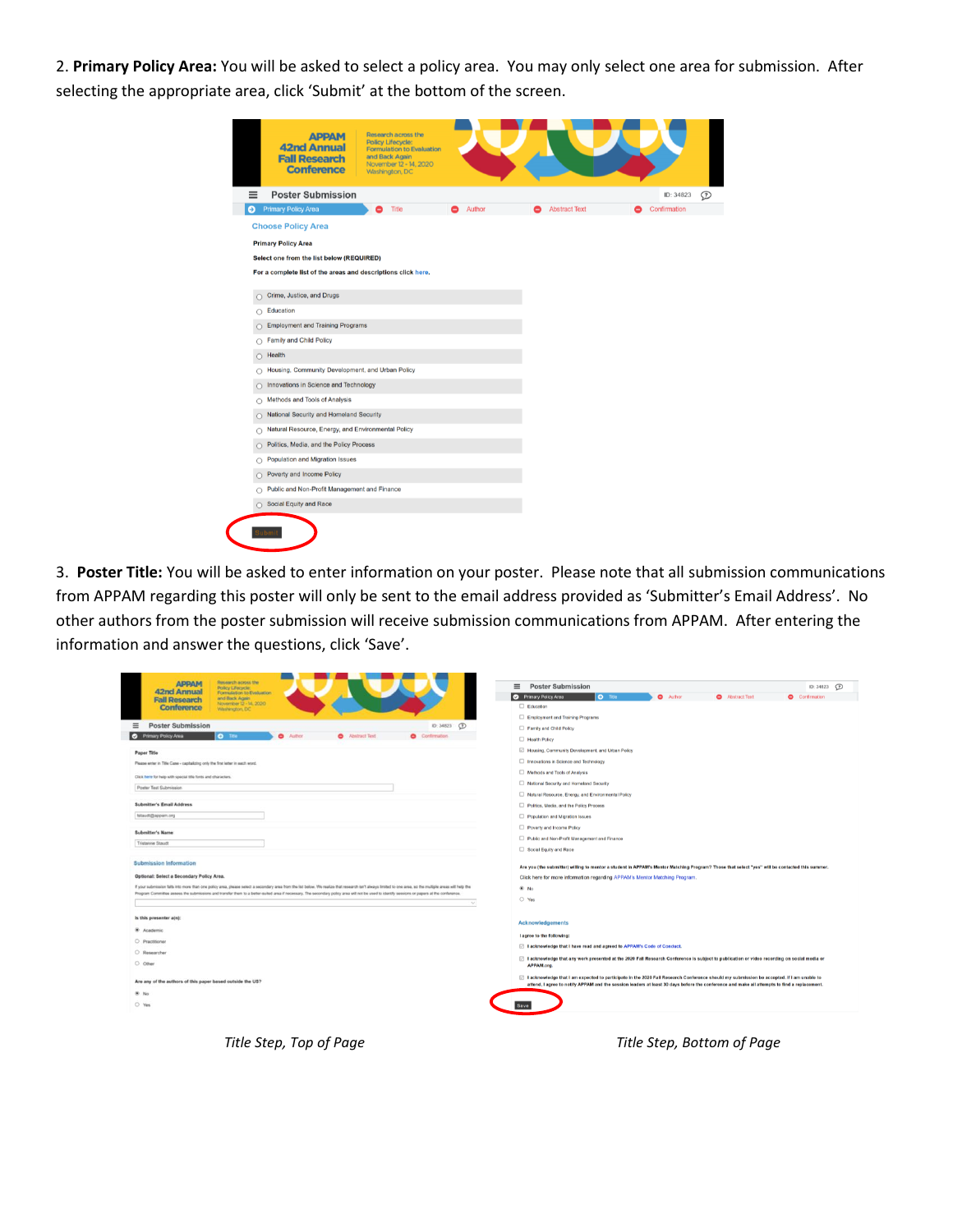2. **Primary Policy Area:** You will be asked to select a policy area. You may only select one area for submission. After selecting the appropriate area, click 'Submit' at the bottom of the screen.

| <b>APPAM</b><br><b>42nd Annual</b><br><b>Fall Research</b><br><b>Conference</b> | Research across the<br>Policy Lifecycle:<br><b>Formulation to Evaluation</b><br>and Back Again<br>November 12 - 14, 2020<br>Washington, DC |        |                      |              |
|---------------------------------------------------------------------------------|--------------------------------------------------------------------------------------------------------------------------------------------|--------|----------------------|--------------|
| <b>Poster Submission</b><br>≡                                                   |                                                                                                                                            |        |                      | ID: 34823    |
| <b>Primary Policy Area</b><br>Θ                                                 | <b>Title</b>                                                                                                                               | Author | <b>Abstract Text</b> | Confirmation |
| <b>Choose Policy Area</b>                                                       |                                                                                                                                            |        |                      |              |
| <b>Primary Policy Area</b>                                                      |                                                                                                                                            |        |                      |              |
| Select one from the list below (REQUIRED)                                       |                                                                                                                                            |        |                      |              |
| For a complete list of the areas and descriptions click here.                   |                                                                                                                                            |        |                      |              |
| Crime, Justice, and Drugs<br>Ο                                                  |                                                                                                                                            |        |                      |              |
| Education<br>$\circ$                                                            |                                                                                                                                            |        |                      |              |
| <b>Employment and Training Programs</b>                                         |                                                                                                                                            |        |                      |              |
| <b>Family and Child Policy</b><br>$\circ$                                       |                                                                                                                                            |        |                      |              |
| Health<br>O                                                                     |                                                                                                                                            |        |                      |              |
| Housing, Community Development, and Urban Policy<br>O                           |                                                                                                                                            |        |                      |              |
| Innovations in Science and Technology<br>n                                      |                                                                                                                                            |        |                      |              |
| Methods and Tools of Analysis<br>O                                              |                                                                                                                                            |        |                      |              |
| National Security and Homeland Security<br>O                                    |                                                                                                                                            |        |                      |              |
| Natural Resource, Energy, and Environmental Policy<br>O                         |                                                                                                                                            |        |                      |              |
| Politics, Media, and the Policy Process<br>O                                    |                                                                                                                                            |        |                      |              |
| Population and Migration Issues<br>O                                            |                                                                                                                                            |        |                      |              |
| Poverty and Income Policy<br>n                                                  |                                                                                                                                            |        |                      |              |
| Public and Non-Profit Management and Finance<br>$\circ$                         |                                                                                                                                            |        |                      |              |
| Social Equity and Race                                                          |                                                                                                                                            |        |                      |              |
|                                                                                 |                                                                                                                                            |        |                      |              |

3. **Poster Title:** You will be asked to enter information on your poster. Please note that all submission communications from APPAM regarding this poster will only be sent to the email address provided as 'Submitter's Email Address'. No other authors from the poster submission will receive submission communications from APPAM. After entering the information and answer the questions, click 'Save'.

| <b>Research across the</b><br><b>АРРАМ</b><br><b>Policy Lifecycle</b>                                                                                                                                       | <b>Poster Submission</b><br>$\equiv$<br>$\odot$<br>ID: 34823                                                                                                                                                                                                                              |
|-------------------------------------------------------------------------------------------------------------------------------------------------------------------------------------------------------------|-------------------------------------------------------------------------------------------------------------------------------------------------------------------------------------------------------------------------------------------------------------------------------------------|
| <b>42nd Annual</b><br>Formulation to Evaluation<br>and Back Again                                                                                                                                           | Primary Policy Area<br>O Title<br><b>O</b> Author<br>Abstract Text<br>Confirmation                                                                                                                                                                                                        |
| <b>Fall Research</b><br>November 12 - 14, 2020<br>Conference                                                                                                                                                | Education                                                                                                                                                                                                                                                                                 |
| Washington, DC                                                                                                                                                                                              | Employment and Training Programs                                                                                                                                                                                                                                                          |
| <b>Poster Submission</b><br>$\equiv$<br>$\odot$<br>ID: 34823                                                                                                                                                | Family and Child Policy                                                                                                                                                                                                                                                                   |
| <b>O</b> Primary Policy Area<br>$O$ The<br>$\bullet$<br>Author<br><b>C</b> Abstract Text<br>Confirmation                                                                                                    | Health Policy                                                                                                                                                                                                                                                                             |
| Paper Title                                                                                                                                                                                                 | Housing, Community Development, and Urban Policy                                                                                                                                                                                                                                          |
| Please enter in Title Case - capitalizing only the first letter in each word.                                                                                                                               | Innovations in Science and Technology                                                                                                                                                                                                                                                     |
|                                                                                                                                                                                                             | Methods and Tools of Analysis                                                                                                                                                                                                                                                             |
| Click here for help with special title forts and characters.<br>Poster Test Submission                                                                                                                      | National Security and Homeland Security                                                                                                                                                                                                                                                   |
|                                                                                                                                                                                                             | Natural Resource, Energy, and Environmental Policy                                                                                                                                                                                                                                        |
| Submitter's Email Address                                                                                                                                                                                   | Politics, Media, and the Policy Process                                                                                                                                                                                                                                                   |
| tstaudt@appam.org                                                                                                                                                                                           | Population and Migration Issues                                                                                                                                                                                                                                                           |
| <b>Submitter's Name</b>                                                                                                                                                                                     | Poverty and Income Policy                                                                                                                                                                                                                                                                 |
| Tristanne Staudt                                                                                                                                                                                            | Public and Non-Profit Management and Finance                                                                                                                                                                                                                                              |
|                                                                                                                                                                                                             | Social Equity and Race                                                                                                                                                                                                                                                                    |
| <b>Submission Information</b>                                                                                                                                                                               | Are you (the submitter) willing to mentor a student in APPAM's Mentor Matching Program? Those that select "yes" will be contacted this summer.                                                                                                                                            |
| Optional: Select a Secondary Policy Area.                                                                                                                                                                   | Click here for more information regarding APPAM's Mentor Matching Program.                                                                                                                                                                                                                |
| If your submission falls into more than one policy area, please select a secondary area from the list below. We realize that research isn't always limited to one area, so the multiple areas will help the | $@$ No                                                                                                                                                                                                                                                                                    |
| Program Committee assess the submissions and transfer them to a better-suited area if necessary. The secondary policy area will not be used to identify sessions or papers at the conference.               | $O$ Yes                                                                                                                                                                                                                                                                                   |
|                                                                                                                                                                                                             |                                                                                                                                                                                                                                                                                           |
| Is this presenter ain):                                                                                                                                                                                     | <b>Acknowledgements</b>                                                                                                                                                                                                                                                                   |
| ® Academic                                                                                                                                                                                                  |                                                                                                                                                                                                                                                                                           |
| O Practitioner                                                                                                                                                                                              | I agree to the following:<br>□ I acknowledge that I have read and agreed to APPAM's Code of Conduct.                                                                                                                                                                                      |
| C Researcher                                                                                                                                                                                                |                                                                                                                                                                                                                                                                                           |
| O Other                                                                                                                                                                                                     | □ I acknowledge that any work presented at the 2020 Fall Research Conference is subject to publication or video recording on social media or<br>APPAM.org.                                                                                                                                |
| Are any of the authors of this paper based outside the US?                                                                                                                                                  | □ I acknowledge that I am expected to participate in the 2020 Fall Research Conference should my submission be accepted. If I am unable to<br>attend, I agree to notify APPAM and the session leaders at least 30 days before the conference and make all attempts to find a replacement. |
| 6.140                                                                                                                                                                                                       |                                                                                                                                                                                                                                                                                           |
| $O$ Yes                                                                                                                                                                                                     |                                                                                                                                                                                                                                                                                           |
|                                                                                                                                                                                                             |                                                                                                                                                                                                                                                                                           |
|                                                                                                                                                                                                             |                                                                                                                                                                                                                                                                                           |

*Title Step, Top of Page Title Step, Bottom of Page*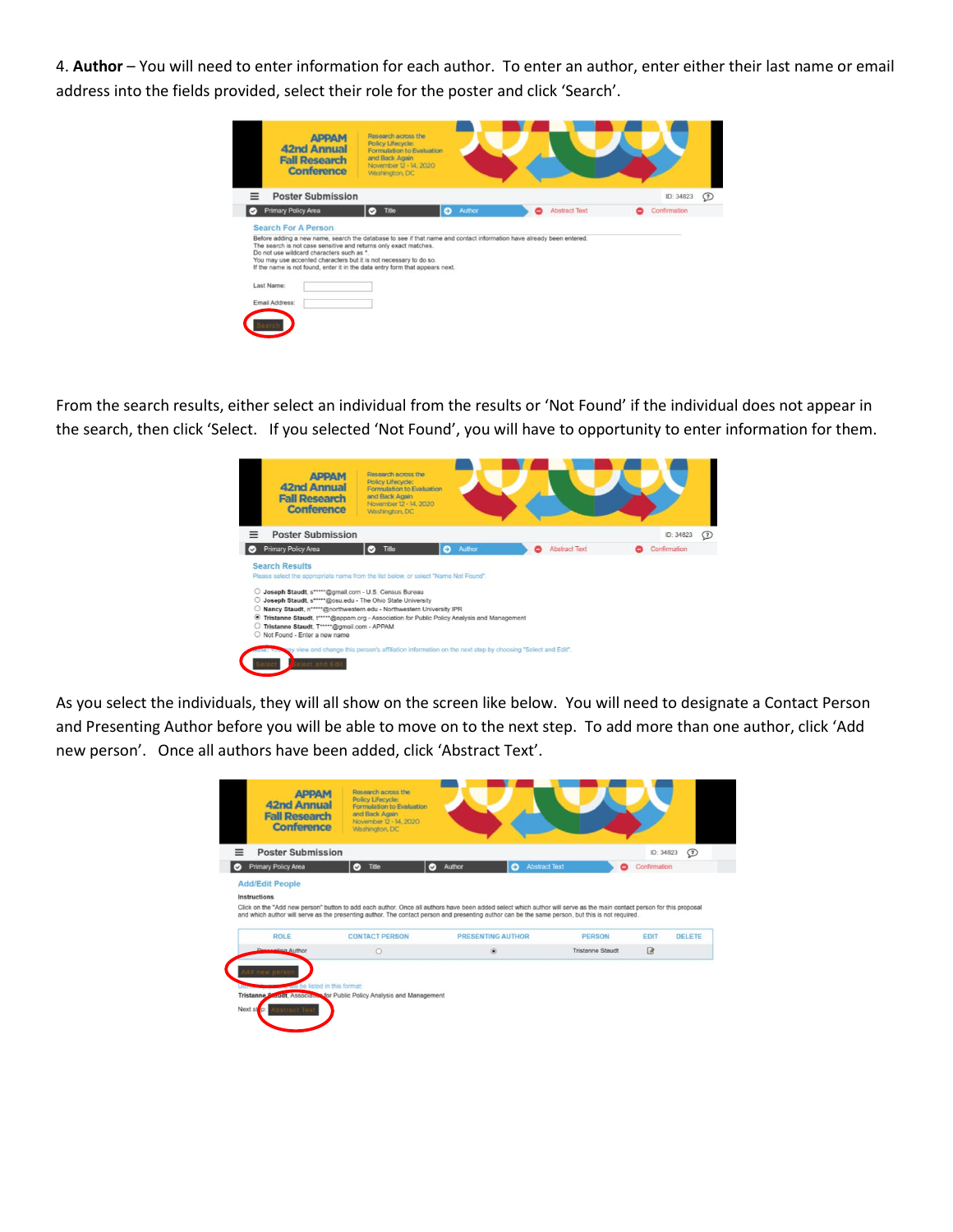4. **Author** – You will need to enter information for each author. To enter an author, enter either their last name or email address into the fields provided, select their role for the poster and click 'Search'.

|    | <b>APPAM</b><br><b>42nd Annual</b><br><b>Fall Research</b><br><b>Conference</b>                                                                   | Research across the<br>Policy Lifecycle:<br>Formulation to Evaluation<br>and Back Again<br>November 12 - 14, 2020<br>Washington, DC |                     |                           |                |
|----|---------------------------------------------------------------------------------------------------------------------------------------------------|-------------------------------------------------------------------------------------------------------------------------------------|---------------------|---------------------------|----------------|
|    | <b>Poster Submission</b>                                                                                                                          |                                                                                                                                     |                     |                           | ID: 34823<br>Ø |
| o. | <b>Primary Policy Area</b>                                                                                                                        | Title<br>$\circ$                                                                                                                    | Author<br>$\bullet$ | <b>Abstract Text</b><br>0 | Confirmation   |
|    | The search is not case sensitive and returns only exact matches.<br>Do not use wildcard characters such as *.                                     |                                                                                                                                     |                     |                           |                |
|    | You may use accented characters but it is not necessary to do so.<br>If the name is not found, enter it in the data entry form that appears next. |                                                                                                                                     |                     |                           |                |
|    | Last Name:<br>Email Address:                                                                                                                      |                                                                                                                                     |                     |                           |                |

From the search results, either select an individual from the results or 'Not Found' if the individual does not appear in the search, then click 'Select. If you selected 'Not Found', you will have to opportunity to enter information for them.

| <b>Poster Submission</b><br><b>Primary Policy Area</b><br>o                                                                                                                                                                                                                                                                                                                                                                                                             |                           |        |                           |                           |         |
|-------------------------------------------------------------------------------------------------------------------------------------------------------------------------------------------------------------------------------------------------------------------------------------------------------------------------------------------------------------------------------------------------------------------------------------------------------------------------|---------------------------|--------|---------------------------|---------------------------|---------|
|                                                                                                                                                                                                                                                                                                                                                                                                                                                                         |                           |        |                           | ID: 34823                 | $\odot$ |
|                                                                                                                                                                                                                                                                                                                                                                                                                                                                         | <b>Title</b><br>$\bullet$ | Author | <b>Abstract Text</b><br>- | Confirmation <sup>®</sup> |         |
| Please select the appropriate name from the list below, or select "Name Not Found".<br>O Joseph Staudt, s*****@gmail.com - U.S. Census Bureau<br>O Joseph Staudt, s*****@osu.edu - The Ohio State University<br>Nancy Staudt, n***** @northwestern.edu - Northwestern University IPR<br>Tristanne Staudt, t*****@appam.org - Association for Public Policy Analysis and Management<br>۰<br>Tristanne Staudt, T*****@gmail.com - APPAM<br>O Not Found - Enter a new name |                           |        |                           |                           |         |

As you select the individuals, they will all show on the screen like below. You will need to designate a Contact Person and Presenting Author before you will be able to move on to the next step. To add more than one author, click 'Add new person'. Once all authors have been added, click 'Abstract Text'.

| <b>Poster Submission</b> |                       |                                                                                                                                                  |                  | ID: 34823    | Ø      |
|--------------------------|-----------------------|--------------------------------------------------------------------------------------------------------------------------------------------------|------------------|--------------|--------|
| Primary Policy Area      | $\circ$<br>Title      | <b>Abstract Text</b><br>Author<br>$\bullet$<br>$\circ$                                                                                           | 8                | Confirmation |        |
|                          |                       | and which author will serve as the presenting author. The contact person and presenting author can be the same person, but this is not required. |                  |              |        |
| <b>ROLE</b>              | <b>CONTACT PERSON</b> | <b>PRESENTING AUTHOR</b>                                                                                                                         | PERSON           | EDIT         | DELETE |
| <b>Dreggering Author</b> | $\circ$               | $\circledbullet$                                                                                                                                 | Tristanne Staudt | ■            |        |
|                          |                       |                                                                                                                                                  |                  |              |        |